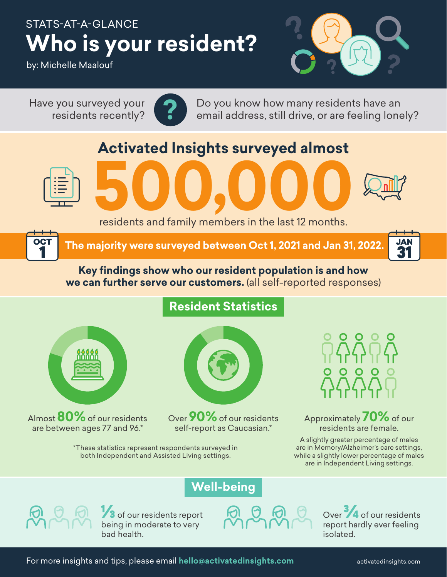## STATS-AT-A-GLANCE **Who is your resident?**

by: Michelle Maalouf

**?** Have you surveyed your residents recently?



Do you know how many residents have an email address, still drive, or are feeling lonely?

## **Activated Insights surveyed almost**



OCT



**5000,000**<br>residents and family members in the last 12 months.

 **The majority were surveyed between Oct 1, 2021 and Jan 31, 2022.**



## **Key findings show who our resident population is and how we can further serve our customers.** (all self-reported responses)

**Resident Statistics**



Almost **80%** of our residents are between ages 77 and 96.\*



Over **90%** of our residents self-report as Caucasian.\*

Approximately **70%** of our residents are female.

A slightly greater percentage of males are in Memory/Alzheimer's care settings, while a slightly lower percentage of males are in Independent Living settings.



**1/3** of our residents report being in moderate to very bad health.

\*These statistics represent respondents surveyed in both Independent and Assisted Living settings.

**Well-being**



Over **3/4** of our residents report hardly ever feeling isolated.